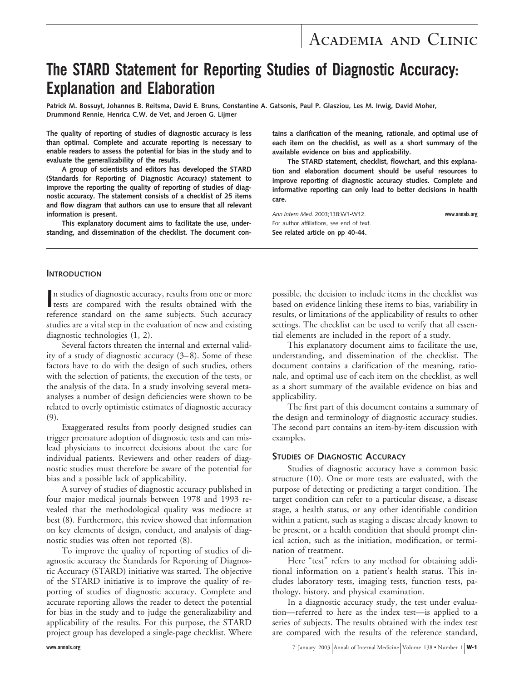# Academia and Clinic

# **The STARD Statement for Reporting Studies of Diagnostic Accuracy: Explanation and Elaboration**

**Patrick M. Bossuyt, Johannes B. Reitsma, David E. Bruns, Constantine A. Gatsonis, Paul P. Glasziou, Les M. Irwig, David Moher, Drummond Rennie, Henrica C.W. de Vet, and Jeroen G. Lijmer**

**The quality of reporting of studies of diagnostic accuracy is less than optimal. Complete and accurate reporting is necessary to enable readers to assess the potential for bias in the study and to evaluate the generalizability of the results.**

**A group of scientists and editors has developed the STARD (Standards for Reporting of Diagnostic Accuracy) statement to improve the reporting the quality of reporting of studies of diagnostic accuracy. The statement consists of a checklist of 25 items and flow diagram that authors can use to ensure that all relevant information is present.**

**This explanatory document aims to facilitate the use, understanding, and dissemination of the checklist. The document con-** **tains a clarification of the meaning, rationale, and optimal use of each item on the checklist, as well as a short summary of the available evidence on bias and applicability.**

**The STARD statement, checklist, flowchart, and this explanation and elaboration document should be useful resources to improve reporting of diagnostic accuracy studies. Complete and informative reporting can only lead to better decisions in health care.**

*Ann Intern Med.* 2003;138:W1-W12. **www.annals.org** For author affiliations, see end of text. **See related article on pp 40-44.**

### **INTRODUCTION**

In studies of diagnostic accuracy, results from one or more<br>tests are compared with the results obtained with the n studies of diagnostic accuracy, results from one or more reference standard on the same subjects. Such accuracy studies are a vital step in the evaluation of new and existing diagnostic technologies (1, 2).

Several factors threaten the internal and external validity of a study of diagnostic accuracy (3–8). Some of these factors have to do with the design of such studies, others with the selection of patients, the execution of the tests, or the analysis of the data. In a study involving several metaanalyses a number of design deficiencies were shown to be related to overly optimistic estimates of diagnostic accuracy (9).

Exaggerated results from poorly designed studies can trigger premature adoption of diagnostic tests and can mislead physicians to incorrect decisions about the care for individual patients. Reviewers and other readers of diagnostic studies must therefore be aware of the potential for bias and a possible lack of applicability.

A survey of studies of diagnostic accuracy published in four major medical journals between 1978 and 1993 revealed that the methodological quality was mediocre at best (8). Furthermore, this review showed that information on key elements of design, conduct, and analysis of diagnostic studies was often not reported (8).

To improve the quality of reporting of studies of diagnostic accuracy the Standards for Reporting of Diagnostic Accuracy (STARD) initiative was started. The objective of the STARD initiative is to improve the quality of reporting of studies of diagnostic accuracy. Complete and accurate reporting allows the reader to detect the potential for bias in the study and to judge the generalizability and applicability of the results. For this purpose, the STARD project group has developed a single-page checklist. Where possible, the decision to include items in the checklist was based on evidence linking these items to bias, variability in results, or limitations of the applicability of results to other settings. The checklist can be used to verify that all essential elements are included in the report of a study.

This explanatory document aims to facilitate the use, understanding, and dissemination of the checklist. The document contains a clarification of the meaning, rationale, and optimal use of each item on the checklist, as well as a short summary of the available evidence on bias and applicability.

The first part of this document contains a summary of the design and terminology of diagnostic accuracy studies. The second part contains an item-by-item discussion with examples.

### **STUDIES OF DIAGNOSTIC ACCURACY**

Studies of diagnostic accuracy have a common basic structure (10). One or more tests are evaluated, with the purpose of detecting or predicting a target condition. The target condition can refer to a particular disease, a disease stage, a health status, or any other identifiable condition within a patient, such as staging a disease already known to be present, or a health condition that should prompt clinical action, such as the initiation, modification, or termination of treatment.

Here "test" refers to any method for obtaining additional information on a patient's health status. This includes laboratory tests, imaging tests, function tests, pathology, history, and physical examination.

In a diagnostic accuracy study, the test under evaluation—referred to here as the index test—is applied to a series of subjects. The results obtained with the index test are compared with the results of the reference standard,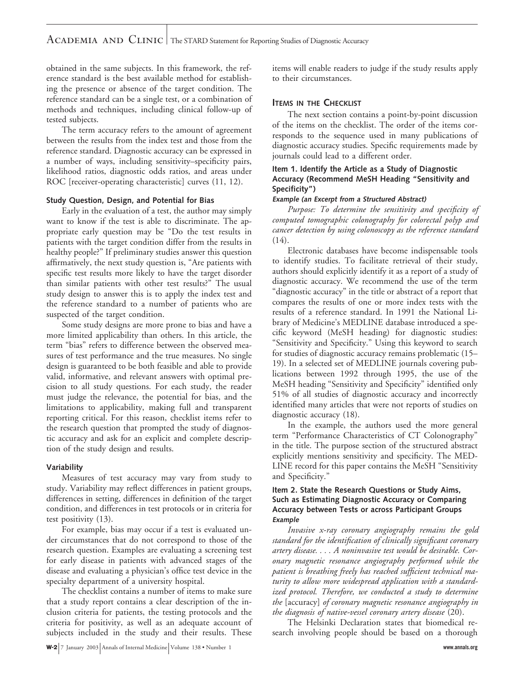# ACADEMIA AND CLINIC | The STARD Statement for Reporting Studies of Diagnostic Accuracy

obtained in the same subjects. In this framework, the reference standard is the best available method for establishing the presence or absence of the target condition. The reference standard can be a single test, or a combination of methods and techniques, including clinical follow-up of tested subjects.

The term accuracy refers to the amount of agreement between the results from the index test and those from the reference standard. Diagnostic accuracy can be expressed in a number of ways, including sensitivity–specificity pairs, likelihood ratios, diagnostic odds ratios, and areas under ROC [receiver-operating characteristic] curves (11, 12).

### **Study Question, Design, and Potential for Bias**

Early in the evaluation of a test, the author may simply want to know if the test is able to discriminate. The appropriate early question may be "Do the test results in patients with the target condition differ from the results in healthy people?" If preliminary studies answer this question affirmatively, the next study question is, "Are patients with specific test results more likely to have the target disorder than similar patients with other test results?" The usual study design to answer this is to apply the index test and the reference standard to a number of patients who are suspected of the target condition.

Some study designs are more prone to bias and have a more limited applicability than others. In this article, the term "bias" refers to difference between the observed measures of test performance and the true measures. No single design is guaranteed to be both feasible and able to provide valid, informative, and relevant answers with optimal precision to all study questions. For each study, the reader must judge the relevance, the potential for bias, and the limitations to applicability, making full and transparent reporting critical. For this reason, checklist items refer to the research question that prompted the study of diagnostic accuracy and ask for an explicit and complete description of the study design and results.

#### **Variability**

Measures of test accuracy may vary from study to study. Variability may reflect differences in patient groups, differences in setting, differences in definition of the target condition, and differences in test protocols or in criteria for test positivity (13).

For example, bias may occur if a test is evaluated under circumstances that do not correspond to those of the research question. Examples are evaluating a screening test for early disease in patients with advanced stages of the disease and evaluating a physician's office test device in the specialty department of a university hospital.

The checklist contains a number of items to make sure that a study report contains a clear description of the inclusion criteria for patients, the testing protocols and the criteria for positivity, as well as an adequate account of subjects included in the study and their results. These

items will enable readers to judge if the study results apply to their circumstances.

### **ITEMS IN THE CHECKLIST**

The next section contains a point-by-point discussion of the items on the checklist. The order of the items corresponds to the sequence used in many publications of diagnostic accuracy studies. Specific requirements made by journals could lead to a different order.

### **Item 1. Identify the Article as a Study of Diagnostic Accuracy (Recommend MeSH Heading "Sensitivity and Specificity")**

### **Example (an Excerpt from <sup>a</sup> Structured Abstract)**

*Purpose: To determine the sensitivity and specificity of computed tomographic colonography for colorectal polyp and cancer detection by using colonoscopy as the reference standard*  $(14)$ .

Electronic databases have become indispensable tools to identify studies. To facilitate retrieval of their study, authors should explicitly identify it as a report of a study of diagnostic accuracy. We recommend the use of the term "diagnostic accuracy" in the title or abstract of a report that compares the results of one or more index tests with the results of a reference standard. In 1991 the National Library of Medicine's MEDLINE database introduced a specific keyword (MeSH heading) for diagnostic studies: "Sensitivity and Specificity." Using this keyword to search for studies of diagnostic accuracy remains problematic (15– 19). In a selected set of MEDLINE journals covering publications between 1992 through 1995, the use of the MeSH heading "Sensitivity and Specificity" identified only 51% of all studies of diagnostic accuracy and incorrectly identified many articles that were not reports of studies on diagnostic accuracy (18).

In the example, the authors used the more general term "Performance Characteristics of CT Colonography" in the title. The purpose section of the structured abstract explicitly mentions sensitivity and specificity. The MED-LINE record for this paper contains the MeSH "Sensitivity and Specificity."

### **Item 2. State the Research Questions or Study Aims, Such as Estimating Diagnostic Accuracy or Comparing Accuracy between Tests or across Participant Groups Example**

*Invasive x-ray coronary angiography remains the gold standard for the identification of clinically significant coronary artery disease. . . . A noninvasive test would be desirable. Coronary magnetic resonance angiography performed while the patient is breathing freely has reached sufficient technical maturity to allow more widespread application with a standardized protocol. Therefore, we conducted a study to determine the* [accuracy] *of coronary magnetic resonance angiography in the diagnosis of native-vessel coronary artery disease* (20).

The Helsinki Declaration states that biomedical research involving people should be based on a thorough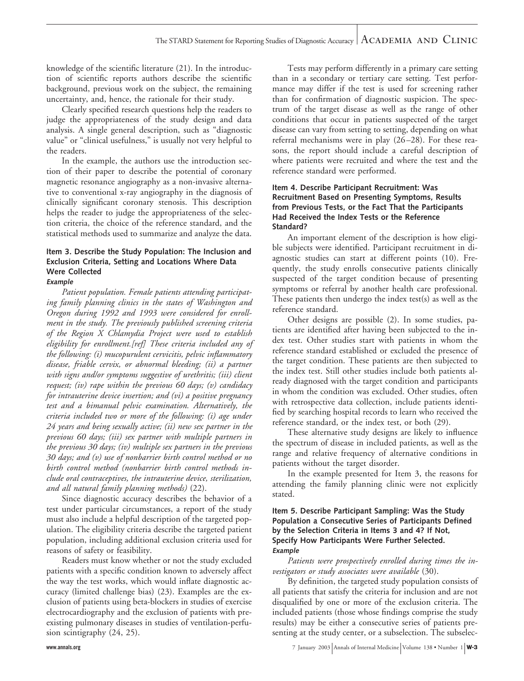knowledge of the scientific literature (21). In the introduction of scientific reports authors describe the scientific background, previous work on the subject, the remaining uncertainty, and, hence, the rationale for their study.

Clearly specified research questions help the readers to judge the appropriateness of the study design and data analysis. A single general description, such as "diagnostic value" or "clinical usefulness," is usually not very helpful to the readers.

In the example, the authors use the introduction section of their paper to describe the potential of coronary magnetic resonance angiography as a non-invasive alternative to conventional x-ray angiography in the diagnosis of clinically significant coronary stenosis. This description helps the reader to judge the appropriateness of the selection criteria, the choice of the reference standard, and the statistical methods used to summarize and analyze the data.

### **Item 3. Describe the Study Population: The Inclusion and Exclusion Criteria, Setting and Locations Where Data Were Collected Example**

*Patient population. Female patients attending participating family planning clinics in the states of Washington and Oregon during 1992 and 1993 were considered for enrollment in the study. The previously published screening criteria of the Region X Chlamydia Project were used to establish eligibility for enrollment.[ref] These criteria included any of the following: (i) mucopurulent cervicitis, pelvic inflammatory disease, friable cervix, or abnormal bleeding; (ii) a partner with signs and/or symptoms suggestive of urethritis; (iii) client request; (iv) rape within the previous 60 days; (v) candidacy for intrauterine device insertion; and (vi) a positive pregnancy test and a bimanual pelvic examination. Alternatively, the criteria included two or more of the following: (i) age under 24 years and being sexually active; (ii) new sex partner in the previous 60 days; (iii) sex partner with multiple partners in the previous 30 days; (iv) multiple sex partners in the previous 30 days; and (v) use of nonbarrier birth control method or no birth control method (nonbarrier birth control methods include oral contraceptives, the intrauterine device, sterilization, and all natural family planning methods)* (22).

Since diagnostic accuracy describes the behavior of a test under particular circumstances, a report of the study must also include a helpful description of the targeted population. The eligibility criteria describe the targeted patient population, including additional exclusion criteria used for reasons of safety or feasibility.

Readers must know whether or not the study excluded patients with a specific condition known to adversely affect the way the test works, which would inflate diagnostic accuracy (limited challenge bias) (23). Examples are the exclusion of patients using beta-blockers in studies of exercise electrocardiography and the exclusion of patients with preexisting pulmonary diseases in studies of ventilation-perfusion scintigraphy (24, 25).

Tests may perform differently in a primary care setting than in a secondary or tertiary care setting. Test performance may differ if the test is used for screening rather than for confirmation of diagnostic suspicion. The spectrum of the target disease as well as the range of other conditions that occur in patients suspected of the target disease can vary from setting to setting, depending on what referral mechanisms were in play (26–28). For these reasons, the report should include a careful description of where patients were recruited and where the test and the reference standard were performed.

### **Item 4. Describe Participant Recruitment: Was Recruitment Based on Presenting Symptoms, Results from Previous Tests, or the Fact That the Participants Had Received the Index Tests or the Reference Standard?**

An important element of the description is how eligible subjects were identified. Participant recruitment in diagnostic studies can start at different points (10). Frequently, the study enrolls consecutive patients clinically suspected of the target condition because of presenting symptoms or referral by another health care professional. These patients then undergo the index test(s) as well as the reference standard.

Other designs are possible (2). In some studies, patients are identified after having been subjected to the index test. Other studies start with patients in whom the reference standard established or excluded the presence of the target condition. These patients are then subjected to the index test. Still other studies include both patients already diagnosed with the target condition and participants in whom the condition was excluded. Other studies, often with retrospective data collection, include patients identified by searching hospital records to learn who received the reference standard, or the index test, or both (29).

These alternative study designs are likely to influence the spectrum of disease in included patients, as well as the range and relative frequency of alternative conditions in patients without the target disorder.

In the example presented for Item 3, the reasons for attending the family planning clinic were not explicitly stated.

### **Item 5. Describe Participant Sampling: Was the Study Population a Consecutive Series of Participants Defined by the Selection Criteria in Items 3 and 4? If Not, Specify How Participants Were Further Selected. Example**

*Patients were prospectively enrolled during times the investigators or study associates were available* (30).

By definition, the targeted study population consists of all patients that satisfy the criteria for inclusion and are not disqualified by one or more of the exclusion criteria. The included patients (those whose findings comprise the study results) may be either a consecutive series of patients presenting at the study center, or a subselection. The subselec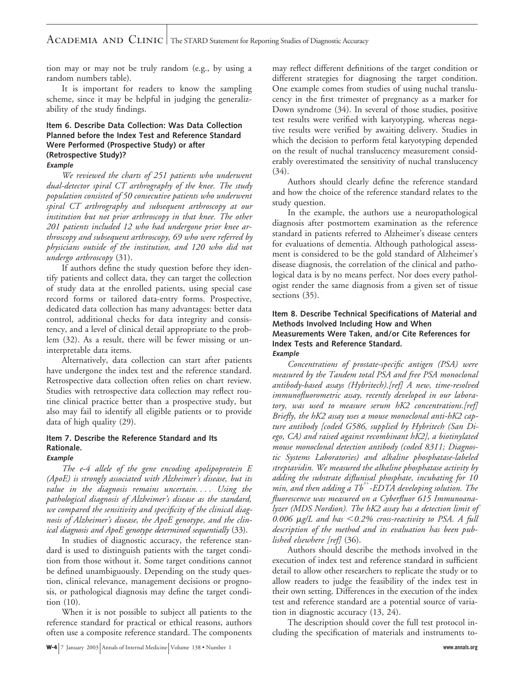tion may or may not be truly random (e.g., by using a random numbers table).

It is important for readers to know the sampling scheme, since it may be helpful in judging the generalizability of the study findings.

# **Item 6. Describe Data Collection: Was Data Collection Planned before the Index Test and Reference Standard Were Performed (Prospective Study) or after (Retrospective Study)?**

### **Example**

*We reviewed the charts of 251 patients who underwent dual-detector spiral CT arthrography of the knee. The study population consisted of 50 consecutive patients who underwent spiral CT arthrography and subsequent arthroscopy at our institution but not prior arthroscopy in that knee. The other 201 patients included 12 who had undergone prior knee arthroscopy and subsequent arthroscopy, 69 who were referred by physicians outside of the institution, and 120 who did not undergo arthroscopy* (31).

If authors define the study question before they identify patients and collect data, they can target the collection of study data at the enrolled patients, using special case record forms or tailored data-entry forms. Prospective, dedicated data collection has many advantages: better data control, additional checks for data integrity and consistency, and a level of clinical detail appropriate to the problem (32). As a result, there will be fewer missing or uninterpretable data items.

Alternatively, data collection can start after patients have undergone the index test and the reference standard. Retrospective data collection often relies on chart review. Studies with retrospective data collection may reflect routine clinical practice better than a prospective study, but also may fail to identify all eligible patients or to provide data of high quality (29).

# **Item 7. Describe the Reference Standard and Its Rationale.**

### **Example**

*The e-4 allele of the gene encoding apolipoprotein E (ApoE) is strongly associated with Alzheimer's disease, but its value in the diagnosis remains uncertain.... Using the pathological diagnosis of Alzheimer's disease as the standard, we compared the sensitivity and specificity of the clinical diagnosis of Alzheimer's disease, the ApoE genotype, and the clinical diagnosis and ApoE genotype determined sequentially* (33).

In studies of diagnostic accuracy, the reference standard is used to distinguish patients with the target condition from those without it. Some target conditions cannot be defined unambiguously. Depending on the study question, clinical relevance, management decisions or prognosis, or pathological diagnosis may define the target condition (10).

When it is not possible to subject all patients to the reference standard for practical or ethical reasons, authors often use a composite reference standard. The components

may reflect different definitions of the target condition or different strategies for diagnosing the target condition. One example comes from studies of using nuchal translucency in the first trimester of pregnancy as a marker for Down syndrome (34). In several of those studies, positive test results were verified with karyotyping, whereas negative results were verified by awaiting delivery. Studies in which the decision to perform fetal karyotyping depended on the result of nuchal translucency measurement considerably overestimated the sensitivity of nuchal translucency (34).

Authors should clearly define the reference standard and how the choice of the reference standard relates to the study question.

In the example, the authors use a neuropathological diagnosis after postmortem examination as the reference standard in patients referred to Alzheimer's disease centers for evaluations of dementia. Although pathological assessment is considered to be the gold standard of Alzheimer's disease diagnosis, the correlation of the clinical and pathological data is by no means perfect. Nor does every pathologist render the same diagnosis from a given set of tissue sections (35).

### **Item 8. Describe Technical Specifications of Material and Methods Involved Including How and When Measurements Were Taken, and/or Cite References for Index Tests and Reference Standard. Example**

*Concentrations of prostate-specific antigen (PSA) were measured by the Tandem total PSA and free PSA monoclonal antibody-based assays (Hybritech).[ref] A new, time-resolved immunofluorometric assay, recently developed in our laboratory, was used to measure serum hK2 concentrations.[ref] Briefly, the hK2 assay uses a mouse monoclonal anti-hK2 capture antibody [coded G586, supplied by Hybritech (San Diego, CA) and raised against recombinant hK2], a biotinylated mouse monoclonal detection antibody (coded 8311; Diagnostic Systems Laboratories) and alkaline phosphatase-labeled streptavidin. We measured the alkaline phosphatase activity by adding the substrate diflunisal phosphate, incubating for 10 min, and then adding a Tb3 -EDTA developing solution. The fluorescence was measured on a Cyberfluor 615 Immunoanalyzer (MDS Nordion). The hK2 assay has a detection limit of* 0.006  $\mu$ g/L and has <0.2% cross-reactivity to PSA. A full *description of the method and its evaluation has been published elsewhere [ref]* (36).

Authors should describe the methods involved in the execution of index test and reference standard in sufficient detail to allow other researchers to replicate the study or to allow readers to judge the feasibility of the index test in their own setting. Differences in the execution of the index test and reference standard are a potential source of variation in diagnostic accuracy (13, 24).

The description should cover the full test protocol including the specification of materials and instruments to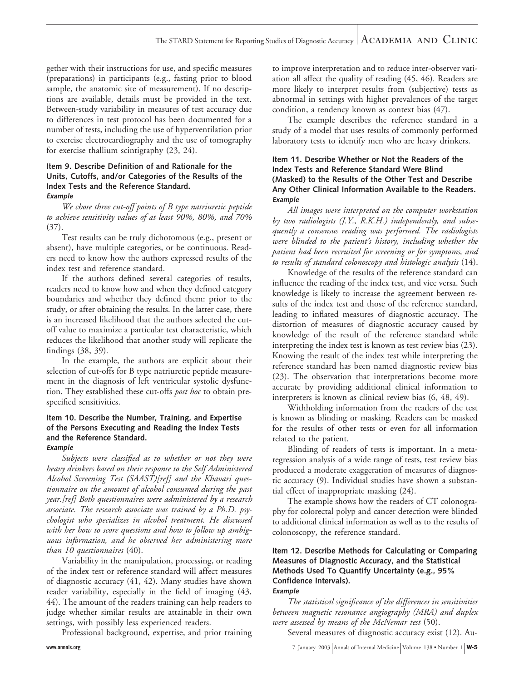gether with their instructions for use, and specific measures (preparations) in participants (e.g., fasting prior to blood sample, the anatomic site of measurement). If no descriptions are available, details must be provided in the text. Between-study variability in measures of test accuracy due to differences in test protocol has been documented for a number of tests, including the use of hyperventilation prior to exercise electrocardiography and the use of tomography for exercise thallium scintigraphy (23, 24).

### **Item 9. Describe Definition of and Rationale for the Units, Cutoffs, and/or Categories of the Results of the Index Tests and the Reference Standard. Example**

*We chose three cut-off points of B type natriuretic peptide to achieve sensitivity values of at least 90%, 80%, and 70%* (37).

Test results can be truly dichotomous (e.g., present or absent), have multiple categories, or be continuous. Readers need to know how the authors expressed results of the index test and reference standard.

If the authors defined several categories of results, readers need to know how and when they defined category boundaries and whether they defined them: prior to the study, or after obtaining the results. In the latter case, there is an increased likelihood that the authors selected the cutoff value to maximize a particular test characteristic, which reduces the likelihood that another study will replicate the findings (38, 39).

In the example, the authors are explicit about their selection of cut-offs for B type natriuretic peptide measurement in the diagnosis of left ventricular systolic dysfunction. They established these cut-offs *post hoc* to obtain prespecified sensitivities.

### **Item 10. Describe the Number, Training, and Expertise of the Persons Executing and Reading the Index Tests and the Reference Standard. Example**

*Subjects were classified as to whether or not they were heavy drinkers based on their response to the Self Administered Alcohol Screening Test (SAAST)[ref] and the Khavari questionnaire on the amount of alcohol consumed during the past year.[ref] Both questionnaires were administered by a research associate. The research associate was trained by a Ph.D. psychologist who specializes in alcohol treatment. He discussed with her how to score questions and how to follow up ambiguous information, and he observed her administering more than 10 questionnaires* (40).

Variability in the manipulation, processing, or reading of the index test or reference standard will affect measures of diagnostic accuracy (41, 42). Many studies have shown reader variability, especially in the field of imaging (43, 44). The amount of the readers training can help readers to judge whether similar results are attainable in their own settings, with possibly less experienced readers.

Professional background, expertise, and prior training

to improve interpretation and to reduce inter-observer variation all affect the quality of reading (45, 46). Readers are more likely to interpret results from (subjective) tests as abnormal in settings with higher prevalences of the target condition, a tendency known as context bias (47).

The example describes the reference standard in a study of a model that uses results of commonly performed laboratory tests to identify men who are heavy drinkers.

### **Item 11. Describe Whether or Not the Readers of the Index Tests and Reference Standard Were Blind (Masked) to the Results of the Other Test and Describe Any Other Clinical Information Available to the Readers. Example**

*All images were interpreted on the computer workstation by two radiologists (J.Y., R.K.H.) independently, and subsequently a consensus reading was performed. The radiologists were blinded to the patient's history, including whether the patient had been recruited for screening or for symptoms, and to results of standard colonoscopy and histologic analysis* (14).

Knowledge of the results of the reference standard can influence the reading of the index test, and vice versa. Such knowledge is likely to increase the agreement between results of the index test and those of the reference standard, leading to inflated measures of diagnostic accuracy. The distortion of measures of diagnostic accuracy caused by knowledge of the result of the reference standard while interpreting the index test is known as test review bias (23). Knowing the result of the index test while interpreting the reference standard has been named diagnostic review bias (23). The observation that interpretations become more accurate by providing additional clinical information to interpreters is known as clinical review bias (6, 48, 49).

Withholding information from the readers of the test is known as blinding or masking. Readers can be masked for the results of other tests or even for all information related to the patient.

Blinding of readers of tests is important. In a metaregression analysis of a wide range of tests, test review bias produced a moderate exaggeration of measures of diagnostic accuracy (9). Individual studies have shown a substantial effect of inappropriate masking (24).

The example shows how the readers of CT colonography for colorectal polyp and cancer detection were blinded to additional clinical information as well as to the results of colonoscopy, the reference standard.

### **Item 12. Describe Methods for Calculating or Comparing Measures of Diagnostic Accuracy, and the Statistical Methods Used To Quantify Uncertainty (e.g., 95% Confidence Intervals). Example**

*The statistical significance of the differences in sensitivities between magnetic resonance angiography (MRA) and duplex were assessed by means of the McNemar test* (50).

Several measures of diagnostic accuracy exist (12). Au-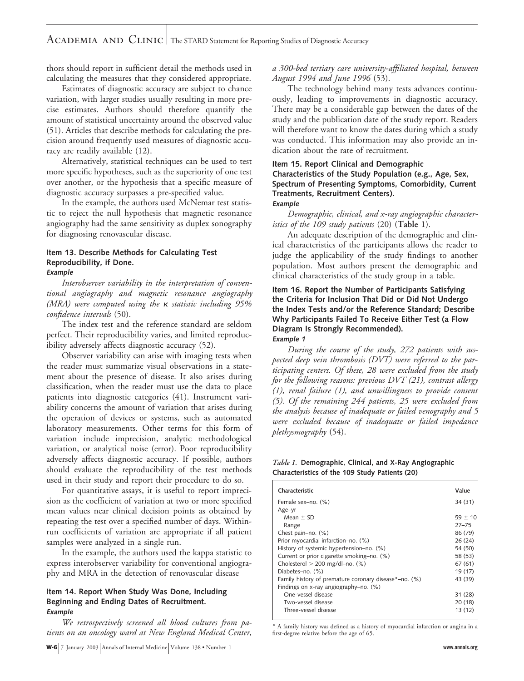### $\rm ACADER$   $\rm AND\,$   $\rm CLINE$   $\mid$  The STARD Statement for Reporting Studies of Diagnostic Accuracy

thors should report in sufficient detail the methods used in calculating the measures that they considered appropriate.

Estimates of diagnostic accuracy are subject to chance variation, with larger studies usually resulting in more precise estimates. Authors should therefore quantify the amount of statistical uncertainty around the observed value (51). Articles that describe methods for calculating the precision around frequently used measures of diagnostic accuracy are readily available (12).

Alternatively, statistical techniques can be used to test more specific hypotheses, such as the superiority of one test over another, or the hypothesis that a specific measure of diagnostic accuracy surpasses a pre-specified value.

In the example, the authors used McNemar test statistic to reject the null hypothesis that magnetic resonance angiography had the same sensitivity as duplex sonography for diagnosing renovascular disease.

### **Item 13. Describe Methods for Calculating Test Reproducibility, if Done. Example**

*Interobserver variability in the interpretation of conventional angiography and magnetic resonance angiography (MRA) were computed using the* - *statistic including 95% confidence intervals* (50).

The index test and the reference standard are seldom perfect. Their reproducibility varies, and limited reproducibility adversely affects diagnostic accuracy (52).

Observer variability can arise with imaging tests when the reader must summarize visual observations in a statement about the presence of disease. It also arises during classification, when the reader must use the data to place patients into diagnostic categories (41). Instrument variability concerns the amount of variation that arises during the operation of devices or systems, such as automated laboratory measurements. Other terms for this form of variation include imprecision, analytic methodological variation, or analytical noise (error). Poor reproducibility adversely affects diagnostic accuracy. If possible, authors should evaluate the reproducibility of the test methods used in their study and report their procedure to do so.

For quantitative assays, it is useful to report imprecision as the coefficient of variation at two or more specified mean values near clinical decision points as obtained by repeating the test over a specified number of days. Withinrun coefficients of variation are appropriate if all patient samples were analyzed in a single run.

In the example, the authors used the kappa statistic to express interobserver variability for conventional angiography and MRA in the detection of renovascular disease

### **Item 14. Report When Study Was Done, Including Beginning and Ending Dates of Recruitment. Example**

*We retrospectively screened all blood cultures from patients on an oncology ward at New England Medical Center,*

### *a 300-bed tertiary care university-affiliated hospital, between August 1994 and June 1996* (53).

The technology behind many tests advances continuously, leading to improvements in diagnostic accuracy. There may be a considerable gap between the dates of the study and the publication date of the study report. Readers will therefore want to know the dates during which a study was conducted. This information may also provide an indication about the rate of recruitment.

# **Item 15. Report Clinical and Demographic Characteristics of the Study Population (e.g., Age, Sex, Spectrum of Presenting Symptoms, Comorbidity, Current Treatments, Recruitment Centers).**

### **Example**

*Demographic, clinical, and x-ray angiographic characteristics of the 109 study patients* (20) (**Table 1**).

An adequate description of the demographic and clinical characteristics of the participants allows the reader to judge the applicability of the study findings to another population. Most authors present the demographic and clinical characteristics of the study group in a table.

### **Item 16. Report the Number of Participants Satisfying the Criteria for Inclusion That Did or Did Not Undergo the Index Tests and/or the Reference Standard; Describe Why Participants Failed To Receive Either Test (a Flow Diagram Is Strongly Recommended). Example <sup>1</sup>**

*During the course of the study, 272 patients with suspected deep vein thrombosis (DVT) were referred to the participating centers. Of these, 28 were excluded from the study for the following reasons: previous DVT (21), contrast allergy (1), renal failure (1), and unwillingness to provide consent (5). Of the remaining 244 patients, 25 were excluded from the analysis because of inadequate or failed venography and 5 were excluded because of inadequate or failed impedance plethysmography* (54).

### *Table 1.* **Demographic, Clinical, and X-Ray Angiographic Characteristics of the 109 Study Patients (20)**

| Characteristic                                        | Value       |
|-------------------------------------------------------|-------------|
| Female sex-no. (%)                                    | 34 (31)     |
| Age-yr                                                |             |
| Mean $\pm$ SD                                         | $59 \pm 10$ |
| Range                                                 | $27 - 75$   |
| Chest pain–no. (%)                                    | 86 (79)     |
| Prior myocardial infarction-no. (%)                   | 26 (24)     |
| History of systemic hypertension–no. (%)              | 54 (50)     |
| Current or prior cigarette smoking-no. (%)            | 58 (53)     |
| Cholesterol $>$ 200 mg/dl-no. (%)                     | 67 (61)     |
| Diabetes-no. (%)                                      | 19 (17)     |
| Family history of premature coronary disease*-no. (%) | 43 (39)     |
| Findings on x-ray angiography-no. (%)                 |             |
| One-vessel disease                                    | 31 (28)     |
| Two-vessel disease                                    | 20 (18)     |
| Three-vessel disease                                  | 13 (12)     |
|                                                       |             |

\* A family history was defined as a history of myocardial infarction or angina in a first-degree relative before the age of 65.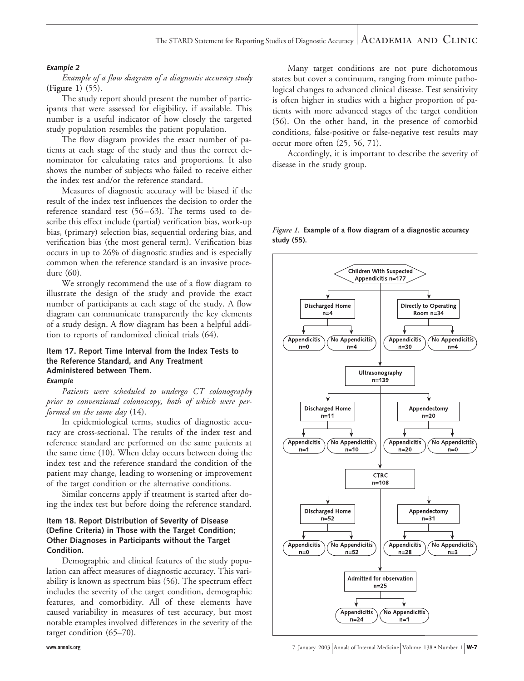### **Example <sup>2</sup>**

*Example of a flow diagram of a diagnostic accuracy study* (**Figure 1**) (55).

The study report should present the number of participants that were assessed for eligibility, if available. This number is a useful indicator of how closely the targeted study population resembles the patient population.

The flow diagram provides the exact number of patients at each stage of the study and thus the correct denominator for calculating rates and proportions. It also shows the number of subjects who failed to receive either the index test and/or the reference standard.

Measures of diagnostic accuracy will be biased if the result of the index test influences the decision to order the reference standard test (56–63). The terms used to describe this effect include (partial) verification bias, work-up bias, (primary) selection bias, sequential ordering bias, and verification bias (the most general term). Verification bias occurs in up to 26% of diagnostic studies and is especially common when the reference standard is an invasive procedure (60).

We strongly recommend the use of a flow diagram to illustrate the design of the study and provide the exact number of participants at each stage of the study. A flow diagram can communicate transparently the key elements of a study design. A flow diagram has been a helpful addition to reports of randomized clinical trials (64).

### **Item 17. Report Time Interval from the Index Tests to the Reference Standard, and Any Treatment Administered between Them. Example**

*Patients were scheduled to undergo CT colonography prior to conventional colonoscopy, both of which were performed on the same day* (14).

In epidemiological terms, studies of diagnostic accuracy are cross-sectional. The results of the index test and reference standard are performed on the same patients at the same time (10). When delay occurs between doing the index test and the reference standard the condition of the patient may change, leading to worsening or improvement of the target condition or the alternative conditions.

Similar concerns apply if treatment is started after doing the index test but before doing the reference standard.

### **Item 18. Report Distribution of Severity of Disease (Define Criteria) in Those with the Target Condition; Other Diagnoses in Participants without the Target Condition.**

Demographic and clinical features of the study population can affect measures of diagnostic accuracy. This variability is known as spectrum bias (56). The spectrum effect includes the severity of the target condition, demographic features, and comorbidity. All of these elements have caused variability in measures of test accuracy, but most notable examples involved differences in the severity of the target condition (65–70).

Many target conditions are not pure dichotomous states but cover a continuum, ranging from minute pathological changes to advanced clinical disease. Test sensitivity is often higher in studies with a higher proportion of patients with more advanced stages of the target condition (56). On the other hand, in the presence of comorbid conditions, false-positive or false-negative test results may occur more often (25, 56, 71).

Accordingly, it is important to describe the severity of disease in the study group.



### *Figure 1.* **Example of a flow diagram of a diagnostic accuracy study (55).**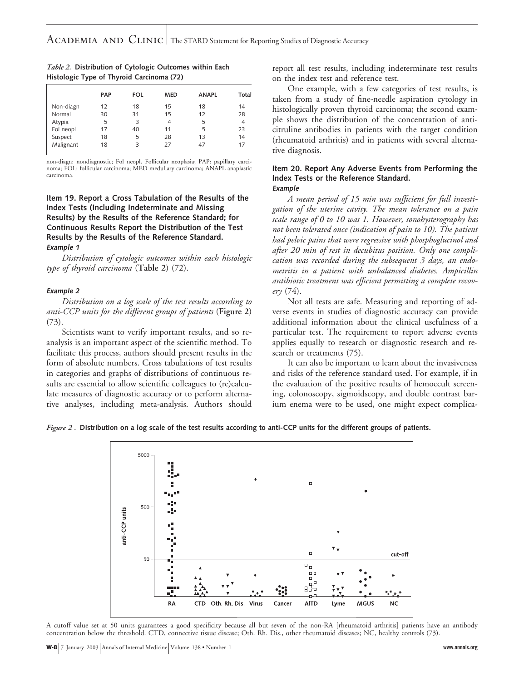#### *Table 2.* **Distribution of Cytologic Outcomes within Each Histologic Type of Thyroid Carcinoma (72)**

|           | <b>PAP</b> | <b>FOL</b> | <b>MED</b> | <b>ANAPL</b> | Total          |  |
|-----------|------------|------------|------------|--------------|----------------|--|
| Non-diagn | 12         | 18         | 15         | 18           | 14             |  |
| Normal    | 30         | 31         | 15         | 12           | 28             |  |
| Atypia    | 5          | 3          | 4          | 5            | $\overline{4}$ |  |
| Fol neopl | 17         | 40         | 11         | 5            | 23             |  |
| Suspect   | 18         | 5          | 28         | 13           | 14             |  |
| Malignant | 18         | 3          | 27         | 47           | 17             |  |
|           |            |            |            |              |                |  |

non-diagn: nondiagnostic; Fol neopl. Follicular neoplasia; PAP: papillary carcinoma; FOL: follicular carcinoma; MED medullary carcinoma; ANAPL anaplastic carcinoma.

### **Item 19. Report a Cross Tabulation of the Results of the Index Tests (Including Indeterminate and Missing Results) by the Results of the Reference Standard; for Continuous Results Report the Distribution of the Test Results by the Results of the Reference Standard. Example <sup>1</sup>**

*Distribution of cytologic outcomes within each histologic type of thyroid carcinoma* (**Table 2**) (72).

### **Example <sup>2</sup>**

*Distribution on a log scale of the test results according to anti-CCP units for the different groups of patients* (**Figure 2**) (73).

Scientists want to verify important results, and so reanalysis is an important aspect of the scientific method. To facilitate this process, authors should present results in the form of absolute numbers. Cross tabulations of test results in categories and graphs of distributions of continuous results are essential to allow scientific colleagues to (re)calculate measures of diagnostic accuracy or to perform alternative analyses, including meta-analysis. Authors should report all test results, including indeterminate test results on the index test and reference test.

One example, with a few categories of test results, is taken from a study of fine-needle aspiration cytology in histologically proven thyroid carcinoma; the second example shows the distribution of the concentration of anticitruline antibodies in patients with the target condition (rheumatoid arthritis) and in patients with several alternative diagnosis.

### **Item 20. Report Any Adverse Events from Performing the Index Tests or the Reference Standard. Example**

*A mean period of 15 min was sufficient for full investigation of the uterine cavity. The mean tolerance on a pain scale range of 0 to 10 was 1. However, sonohysterography has not been tolerated once (indication of pain to 10). The patient had pelvic pains that were regressive with phosphoglucinol and after 20 min of rest in decubitus position. Only one complication was recorded during the subsequent 3 days, an endometritis in a patient with unbalanced diabetes. Ampicillin antibiotic treatment was efficient permitting a complete recovery* (74).

Not all tests are safe. Measuring and reporting of adverse events in studies of diagnostic accuracy can provide additional information about the clinical usefulness of a particular test. The requirement to report adverse events applies equally to research or diagnostic research and research or treatments (75).

It can also be important to learn about the invasiveness and risks of the reference standard used. For example, if in the evaluation of the positive results of hemoccult screening, colonoscopy, sigmoidscopy, and double contrast barium enema were to be used, one might expect complica-

*Figure 2 .* **Distribution on a log scale of the test results according to anti-CCP units for the different groups of patients.**



A cutoff value set at 50 units guarantees a good specificity because all but seven of the non-RA [rheumatoid arthritis] patients have an antibody concentration below the threshold. CTD, connective tissue disease; Oth. Rh. Dis., other rheumatoid diseases; NC, healthy controls (73).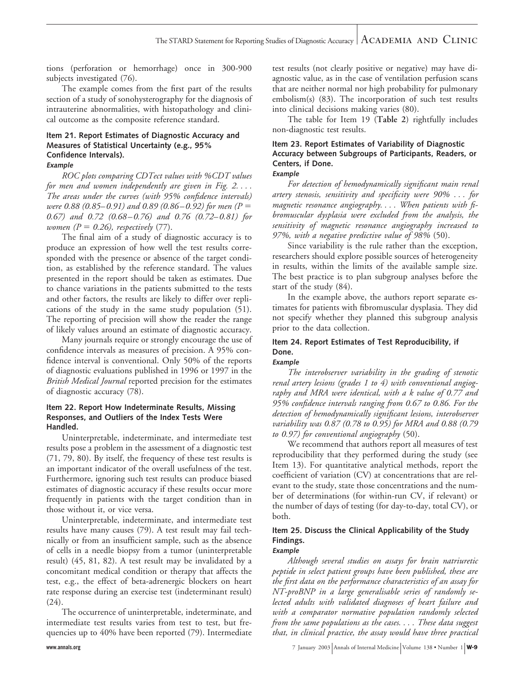tions (perforation or hemorrhage) once in 300-900 subjects investigated (76).

The example comes from the first part of the results section of a study of sonohysterography for the diagnosis of intrauterine abnormalities, with histopathology and clinical outcome as the composite reference standard.

# **Item 21. Report Estimates of Diagnostic Accuracy and Measures of Statistical Uncertainty (e.g., 95% Confidence Intervals).**

### **Example**

*ROC plots comparing CDTect values with %CDT values for men and women independently are given in Fig. 2.... The areas under the curves (with 95% confidence intervals) were 0.88 (0.85–0.91) and 0.89 (0.86–0.92) for men (P 0.67) and 0.72 (0.68–0.76) and 0.76 (0.72–0.81) for women*  $(P = 0.26)$ , respectively (77).

The final aim of a study of diagnostic accuracy is to produce an expression of how well the test results corresponded with the presence or absence of the target condition, as established by the reference standard. The values presented in the report should be taken as estimates. Due to chance variations in the patients submitted to the tests and other factors, the results are likely to differ over replications of the study in the same study population (51). The reporting of precision will show the reader the range of likely values around an estimate of diagnostic accuracy.

Many journals require or strongly encourage the use of confidence intervals as measures of precision. A 95% confidence interval is conventional. Only 50% of the reports of diagnostic evaluations published in 1996 or 1997 in the *British Medical Journal* reported precision for the estimates of diagnostic accuracy (78).

### **Item 22. Report How Indeterminate Results, Missing Responses, and Outliers of the Index Tests Were Handled.**

Uninterpretable, indeterminate, and intermediate test results pose a problem in the assessment of a diagnostic test (71, 79, 80). By itself, the frequency of these test results is an important indicator of the overall usefulness of the test. Furthermore, ignoring such test results can produce biased estimates of diagnostic accuracy if these results occur more frequently in patients with the target condition than in those without it, or vice versa.

Uninterpretable, indeterminate, and intermediate test results have many causes (79). A test result may fail technically or from an insufficient sample, such as the absence of cells in a needle biopsy from a tumor (uninterpretable result) (45, 81, 82). A test result may be invalidated by a concomitant medical condition or therapy that affects the test, e.g., the effect of beta-adrenergic blockers on heart rate response during an exercise test (indeterminant result) (24).

The occurrence of uninterpretable, indeterminate, and intermediate test results varies from test to test, but frequencies up to 40% have been reported (79). Intermediate test results (not clearly positive or negative) may have diagnostic value, as in the case of ventilation perfusion scans that are neither normal nor high probability for pulmonary embolism(s) (83). The incorporation of such test results into clinical decisions making varies (80).

The table for Item 19 (**Table 2**) rightfully includes non-diagnostic test results.

# **Item 23. Report Estimates of Variability of Diagnostic Accuracy between Subgroups of Participants, Readers, or Centers, if Done.**

**Example**

*For detection of hemodynamically significant main renal artery stenosis, sensitivity and specificity were 90% . . . for magnetic resonance angiography. . . . When patients with fibromuscular dysplasia were excluded from the analysis, the sensitivity of magnetic resonance angiography increased to 97%, with a negative predictive value of 98%* (50).

Since variability is the rule rather than the exception, researchers should explore possible sources of heterogeneity in results, within the limits of the available sample size. The best practice is to plan subgroup analyses before the start of the study (84).

In the example above, the authors report separate estimates for patients with fibromuscular dysplasia. They did not specify whether they planned this subgroup analysis prior to the data collection.

# **Item 24. Report Estimates of Test Reproducibility, if Done.**

### **Example**

*The interobserver variability in the grading of stenotic renal artery lesions (grades 1 to 4) with conventional angiography and MRA were identical, with a k value of 0.77 and 95% confidence intervals ranging from 0.67 to 0.86. For the detection of hemodynamically significant lesions, interobserver variability was 0.87 (0.78 to 0.95) for MRA and 0.88 (0.79 to 0.97) for conventional angiography* (50).

We recommend that authors report all measures of test reproducibility that they performed during the study (see Item 13). For quantitative analytical methods, report the coefficient of variation (CV) at concentrations that are relevant to the study, state those concentrations and the number of determinations (for within-run CV, if relevant) or the number of days of testing (for day-to-day, total CV), or both.

### **Item 25. Discuss the Clinical Applicability of the Study Findings. Example**

*Although several studies on assays for brain natriuretic peptide in select patient groups have been published, these are the first data on the performance characteristics of an assay for NT-proBNP in a large generalisable series of randomly selected adults with validated diagnoses of heart failure and with a comparator normative population randomly selected from the same populations as the cases.... These data suggest that, in clinical practice, the assay would have three practical*

**www.annals.org** 7 January 2003 Annals of Internal Medicine Volume 138 • Number 1 **W-9**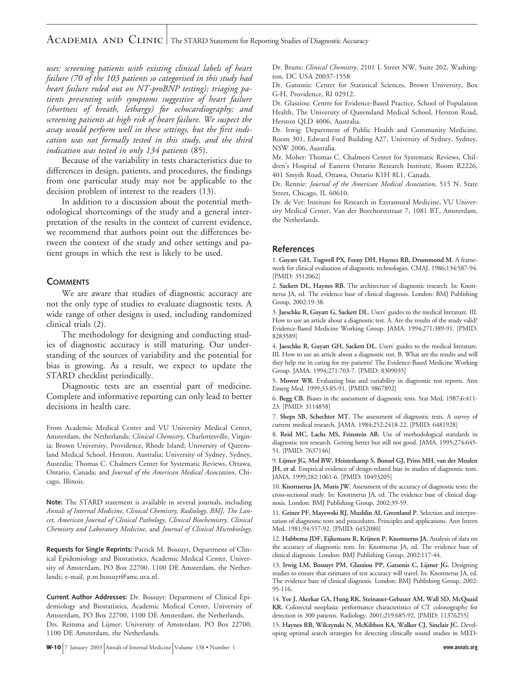# ACADEMIA AND CLINIC | The STARD Statement for Reporting Studies of Diagnostic Accuracy

*uses: screening patients with existing clinical labels of heart failure (70 of the 103 patients so categorised in this study had heart failure ruled out on NT-proBNP testing); triaging patients presenting with symptoms suggestive of heart failure (shortness of breath, lethargy) for echocardiography; and screening patients at high risk of heart failure. We suspect the assay would perform well in these settings, but the first indication was not formally tested in this study, and the third indication was tested in only 134 patients* (85).

Because of the variability in tests characteristics due to differences in design, patients, and procedures, the findings from one particular study may not be applicable to the decision problem of interest to the readers (13).

In addition to a discussion about the potential methodological shortcomings of the study and a general interpretation of the results in the context of current evidence, we recommend that authors point out the differences between the context of the study and other settings and patient groups in which the test is likely to be used.

### **COMMENTS**

We are aware that studies of diagnostic accuracy are not the only type of studies to evaluate diagnostic tests. A wide range of other designs is used, including randomized clinical trials (2).

The methodology for designing and conducting studies of diagnostic accuracy is still maturing. Our understanding of the sources of variability and the potential for bias is growing. As a result, we expect to update the STARD checklist periodically.

Diagnostic tests are an essential part of medicine. Complete and informative reporting can only lead to better decisions in health care.

From Academic Medical Center and VU University Medical Center, Amsterdam, the Netherlands; *Clinical Chemistry*, Charlottesville, Virginia; Brown University, Providence, Rhode Island; University of Queensland Medical School, Herston, Australia; University of Sydney, Sydney, Australia; Thomas C. Chalmers Center for Systematic Reviews, Ottawa, Ontario, Canada; and *Journal of the American Medical Association*, Chicago, Illinois.

**Note:** The STARD statement is available in several journals, including *Annals of Internal Medicine, Clinical Chemistry, Radiology, BMJ, The Lancet, American Journal of Clinical Pathology, Clinical Biochemistry, Clinical Chemistry and Laboratory Medicine,* and *Journal of Clinical Microbiology*.

**Requests for Single Reprints:** Patrick M. Bossuyt, Department of Clinical Epidemiology and Biostatistics, Academic Medical Center, University of Amsterdam, PO Box 22700, 1100 DE Amsterdam, the Netherlands; e-mail, p.m.bossuyt@amc.uva.nl.

**Current Author Addresses:** Dr. Bossuyt: Department of Clinical Epidemiology and Biostatistics, Academic Medical Center, University of Amsterdam, PO Box 22700, 1100 DE Amsterdam, the Netherlands. Drs. Reitsma and Lijmer: University of Amsterdam, PO Box 22700, 1100 DE Amsterdam, the Netherlands.

Dr. Bruns: *Clinical Chemistry*, 2101 L Street NW, Suite 202, Washington, DC USA 20037-1558

Dr. Gatsonis: Center for Statistical Sciences, Brown University, Box G-H, Providence, RI 02912.

Dr. Glasziou: Centre for Evidence-Based Practice, School of Population Health, The University of Queensland Medical School, Herston Road, Herston QLD 4006, Australia.

Dr. Irwig: Department of Public Health and Community Medicine, Room 301, Edward Ford Building A27, University of Sydney, Sydney, NSW 2006, Australia.

Mr. Moher: Thomas C. Chalmers Center for Systematic Reviews, Children's Hospital of Eastern Ontario Research Institute, Room R2226, 401 Smyth Road, Ottawa, Ontario K1H 8L1, Canada.

Dr. Rennie: *Journal of the American Medical Association*, 515 N. State Street, Chicago, IL 60610.

Dr. de Vet: Institute for Research in Extramural Medicine, VU University Medical Center, Van der Boechorststraat 7, 1081 BT, Amsterdam, the Netherlands.

#### **References**

1. **Guyatt GH, Tugwell PX, Feeny DH, Haynes RB, Drummond M.** A framework for clinical evaluation of diagnostic technologies. CMAJ. 1986;134:587-94. [PMID: 3512062]

2. **Sackett DL, Haynes RB.** The architecture of diagnostic research. In: Knottnerus JA, ed. The evidence base of clinical diagnosis. London: BMJ Publishing Group, 2002:19-38.

3. **Jaeschke R, Guyatt G, Sackett DL.** Users' guides to the medical literature. III. How to use an article about a diagnostic test. A. Are the results of the study valid? Evidence-Based Medicine Working Group. JAMA. 1994;271:389-91. [PMID: 8283589]

4. **Jaeschke R, Guyatt GH, Sackett DL.** Users' guides to the medical literature. III. How to use an article about a diagnostic test. B. What are the results and will they help me in caring for my patients? The Evidence-Based Medicine Working Group. JAMA. 1994;271:703-7. [PMID: 8309035]

5. **Mower WR.** Evaluating bias and variability in diagnostic test reports. Ann Emerg Med. 1999;33:85-91. [PMID: 9867892]

6. **Begg CB.** Biases in the assessment of diagnostic tests. Stat Med. 1987;6:411- 23. [PMID: 3114858]

7. **Sheps SB, Schechter MT.** The assessment of diagnostic tests. A survey of current medical research. JAMA. 1984;252:2418-22. [PMID: 6481928]

8. **Reid MC, Lachs MS, Feinstein AR.** Use of methodological standards in diagnostic test research. Getting better but still not good. JAMA. 1995;274:645- 51. [PMID: 7637146]

9. **Lijmer JG, Mol BW, Heisterkamp S, Bonsel GJ, Prins MH, van der Meulen JH, et al.** Empirical evidence of design-related bias in studies of diagnostic tests. JAMA. 1999;282:1061-6. [PMID: 10493205]

10. **Knottnerus JA, Muris JW.** Assessment of the accuracy of diagnostic tests: the cross-sectional study. In: Knottnerus JA, ed. The evidence base of clinical diagnosis. London: BMJ Publishing Group, 2002:39-59.

11. **Griner PF, Mayewski RJ, Mushlin AI, Greenland P.** Selection and interpretation of diagnostic tests and procedures. Principles and applications. Ann Intern Med. 1981;94:557-92. [PMID: 6452080]

12. **Habbema JDF, Eijkemans R, Krijnen P, Knottnerus JA.** Analysis of data on the accuracy of diagnostic tests. In: Knottnerus JA, ed. The evidence base of clinical diagnosis. London: BMJ Publishing Group, 2002:117-44.

13. **Irwig LM, Bossuyt PM, Glasziou PP, Gatsonis C, Lijmer JG.** Designing studies to ensure that estimates of test accuracy will travel. In: Knottnerus JA, ed. The evidence base of clinical diagnosis. London: BMJ Publishing Group, 2002: 95-116.

14. **Yee J, Akerkar GA, Hung RK, Steinauer-Gebauer AM, Wall SD, McQuaid KR.** Colorectal neoplasia: performance characteristics of CT colonography for detection in 300 patients. Radiology. 2001;219:685-92. [PMID: 11376255]

15. **Haynes RB, Wilczynski N, McKibbon KA, Walker CJ, Sinclair JC.** Developing optimal search strategies for detecting clinically sound studies in MED-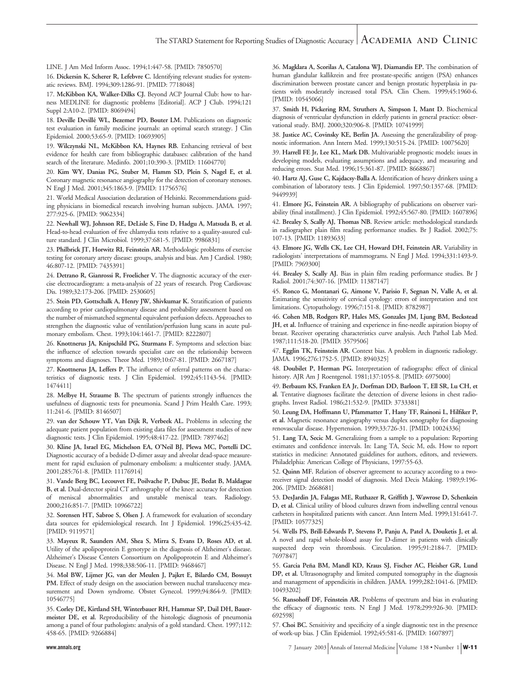LINE. J Am Med Inform Assoc. 1994;1:447-58. [PMID: 7850570]

16. **Dickersin K, Scherer R, Lefebvre C.** Identifying relevant studies for systematic reviews. BMJ. 1994;309:1286-91. [PMID: 7718048]

17. **McKibbon KA, Walker-Dilks CJ.** Beyond ACP Journal Club: how to harness MEDLINE for diagnostic problems [Editorial]. ACP J Club. 1994;121 Suppl 2:A10-2. [PMID: 8069494]

18. Deville Devillé WL, Bezemer PD, Bouter LM. Publications on diagnostic test evaluation in family medicine journals: an optimal search strategy. J Clin Epidemiol. 2000;53:65-9. [PMID: 10693905]

19. **Wilczynski NL, McKibbon KA, Haynes RB.** Enhancing retrieval of best evidence for health care from bibliographic databases: calibration of the hand search of the literature. Medinfo. 2001;10:390-3. [PMID: 11604770]

20. **Kim WY, Danias PG, Stuber M, Flamm SD, Plein S, Nagel E, et al.** Coronary magnetic resonance angiography for the detection of coronary stenoses. N Engl J Med. 2001;345:1863-9. [PMID: 11756576]

21. World Medical Association declaration of Helsinki. Recommendations guiding physicians in biomedical research involving human subjects. JAMA. 1997; 277:925-6. [PMID: 9062334]

22. **Newhall WJ, Johnson RE, DeLisle S, Fine D, Hadgu A, Matsuda B, et al.** Head-to-head evaluation of five chlamydia tests relative to a quality-assured culture standard. J Clin Microbiol. 1999;37:681-5. [PMID: 9986831]

23. **Philbrick JT, Horwitz RI, Feinstein AR.** Methodologic problems of exercise testing for coronary artery disease: groups, analysis and bias. Am J Cardiol. 1980; 46:807-12. [PMID: 7435391]

24. **Detrano R, Gianrossi R, Froelicher V.** The diagnostic accuracy of the exercise electrocardiogram: a meta-analysis of 22 years of research. Prog Cardiovasc Dis. 1989;32:173-206. [PMID: 2530605]

25. **Stein PD, Gottschalk A, Henry JW, Shivkumar K.** Stratification of patients according to prior cardiopulmonary disease and probability assessment based on the number of mismatched segmental equivalent perfusion defects. Approaches to strengthen the diagnostic value of ventilation/perfusion lung scans in acute pulmonary embolism. Chest. 1993;104:1461-7. [PMID: 8222807]

26. **Knottnerus JA, Knipschild PG, Sturmans F.** Symptoms and selection bias: the influence of selection towards specialist care on the relationship between symptoms and diagnoses. Theor Med. 1989;10:67-81. [PMID: 2667187]

27. **Knottnerus JA, Leffers P.** The influence of referral patterns on the characteristics of diagnostic tests. J Clin Epidemiol. 1992;45:1143-54. [PMID: 1474411]

28. **Melbye H, Straume B.** The spectrum of patients strongly influences the usefulness of diagnostic tests for pneumonia. Scand J Prim Health Care. 1993; 11:241-6. [PMID: 8146507]

29. **van der Schouw YT, Van Dijk R, Verbeek AL.** Problems in selecting the adequate patient population from existing data files for assessment studies of new diagnostic tests. J Clin Epidemiol. 1995;48:417-22. [PMID: 7897462]

30. **Kline JA, Israel EG, Michelson EA, O'Neil BJ, Plewa MC, Portelli DC.** Diagnostic accuracy of a bedside D-dimer assay and alveolar dead-space measurement for rapid exclusion of pulmonary embolism: a multicenter study. JAMA. 2001;285:761-8. [PMID: 11176914]

31. **Vande Berg BC, Lecouvet FE, Poilvache P, Dubuc JE, Bedat B, Maldague B, et al.** Dual-detector spiral CT arthrography of the knee: accuracy for detection of meniscal abnormalities and unstable meniscal tears. Radiology. 2000;216:851-7. [PMID: 10966722]

32. **Sorensen HT, Sabroe S, Olsen J.** A framework for evaluation of secondary data sources for epidemiological research. Int J Epidemiol. 1996;25:435-42. [PMID: 9119571]

33. **Mayeux R, Saunders AM, Shea S, Mirra S, Evans D, Roses AD, et al.** Utility of the apolipoprotein E genotype in the diagnosis of Alzheimer's disease. Alzheimer's Disease Centers Consortium on Apolipoprotein E and Alzheimer's Disease. N Engl J Med. 1998;338:506-11. [PMID: 9468467]

34. **Mol BW, Lijmer JG, van der Meulen J, Pajkrt E, Bilardo CM, Bossuyt** PM. Effect of study design on the association between nuchal translucency measurement and Down syndrome. Obstet Gynecol. 1999;94:864-9. [PMID: 10546775]

35. **Corley DE, Kirtland SH, Winterbauer RH, Hammar SP, Dail DH, Bauermeister DE, et al.** Reproducibility of the histologic diagnosis of pneumonia among a panel of four pathologists: analysis of a gold standard. Chest. 1997;112: 458-65. [PMID: 9266884]

36. **Magklara A, Scorilas A, Catalona WJ, Diamandis EP.** The combination of human glandular kallikrein and free prostate-specific antigen (PSA) enhances discrimination between prostate cancer and benign prostatic hyperplasia in patients with moderately increased total PSA. Clin Chem. 1999;45:1960-6. [PMID: 10545066]

37. **Smith H, Pickering RM, Struthers A, Simpson I, Mant D.** Biochemical diagnosis of ventricular dysfunction in elderly patients in general practice: observational study. BMJ. 2000;320:906-8. [PMID: 10741999]

38. **Justice AC, Covinsky KE, Berlin JA.** Assessing the generalizability of prognostic information. Ann Intern Med. 1999;130:515-24. [PMID: 10075620]

39. **Harrell FE Jr, Lee KL, Mark DB.** Multivariable prognostic models: issues in developing models, evaluating assumptions and adequacy, and measuring and reducing errors. Stat Med. 1996;15:361-87. [PMID: 8668867]

40. **Hartz AJ, Guse C, Kajdacsy-Balla A.** Identification of heavy drinkers using a combination of laboratory tests. J Clin Epidemiol. 1997;50:1357-68. [PMID: 9449939]

41. **Elmore JG, Feinstein AR.** A bibliography of publications on observer variability (final installment). J Clin Epidemiol. 1992;45:567-80. [PMID: 1607896]

42. **Brealey S, Scally AJ, Thomas NB.** Review article: methodological standards in radiographer plain film reading performance studies. Br J Radiol. 2002;75: 107-13. [PMID: 11893633]

43. **Elmore JG, Wells CK, Lee CH, Howard DH, Feinstein AR.** Variability in radiologists' interpretations of mammograms. N Engl J Med. 1994;331:1493-9. [PMID: 7969300]

44. **Brealey S, Scally AJ.** Bias in plain film reading performance studies. Br J Radiol. 2001;74:307-16. [PMID: 11387147]

45. **Ronco G, Montanari G, Aimone V, Parisio F, Segnan N, Valle A, et al.** Estimating the sensitivity of cervical cytology: errors of interpretation and test limitations. Cytopathology. 1996;7:151-8. [PMID: 8782987]

46. **Cohen MB, Rodgers RP, Hales MS, Gonzales JM, Ljung BM, Beckstead JH, et al.** Influence of training and experience in fine-needle aspiration biopsy of breast. Receiver operating characteristics curve analysis. Arch Pathol Lab Med. 1987;111:518-20. [PMID: 3579506]

47. **Egglin TK, Feinstein AR.** Context bias. A problem in diagnostic radiology. JAMA. 1996;276:1752-5. [PMID: 8940325]

48. **Doubilet P, Herman PG.** Interpretation of radiographs: effect of clinical history. AJR Am J Roentgenol. 1981;137:1055-8. [PMID: 6975000]

49. **Berbaum KS, Franken EA Jr, Dorfman DD, Barloon T, Ell SR, Lu CH, et al.** Tentative diagnoses facilitate the detection of diverse lesions in chest radiographs. Invest Radiol. 1986;21:532-9. [PMID: 3733381]

50. **Leung DA, Hoffmann U, Pfammatter T, Hany TF, Rainoni L, Hilfiker P, et al.** Magnetic resonance angiography versus duplex sonography for diagnosing renovascular disease. Hypertension. 1999;33:726-31. [PMID: 10024336]

51. **Lang TA, Secic M.** Generalizing from a sample to a population: Reporting estimates and confidence intervals. In: Lang TA, Secic M, eds. How to report statistics in medicine: Annotated guidelines for authors, editors, and reviewers. Philadelphia: American College of Physicians, 1997:55-63.

52. **Quinn MF.** Relation of observer agreement to accuracy according to a tworeceiver signal detection model of diagnosis. Med Decis Making. 1989;9:196- 206. [PMID: 2668681]

53. **DesJardin JA, Falagas ME, Ruthazer R, Griffith J, Wawrose D, Schenkein D, et al.** Clinical utility of blood cultures drawn from indwelling central venous catheters in hospitalized patients with cancer. Ann Intern Med. 1999;131:641-7. [PMID: 10577325]

54. **Wells PS, Brill-Edwards P, Stevens P, Panju A, Patel A, Douketis J, et al.** A novel and rapid whole-blood assay for D-dimer in patients with clinically suspected deep vein thrombosis. Circulation. 1995;91:2184-7. [PMID: 7697847]

55. Garcia Peña BM, Mandl KD, Kraus SJ, Fischer AC, Fleisher GR, Lund **DP, et al.** Ultrasonography and limited computed tomography in the diagnosis and management of appendicitis in children. JAMA. 1999;282:1041-6. [PMID: 10493202]

56. **Ransohoff DF, Feinstein AR.** Problems of spectrum and bias in evaluating the efficacy of diagnostic tests. N Engl J Med. 1978;299:926-30. [PMID: 692598]

57. **Choi BC.** Sensitivity and specificity of a single diagnostic test in the presence of work-up bias. J Clin Epidemiol. 1992;45:581-6. [PMID: 1607897]

**www.annals.org** 7 January 2003 Annals of Internal Medicine Volume 138 • Number 1 **W-11**